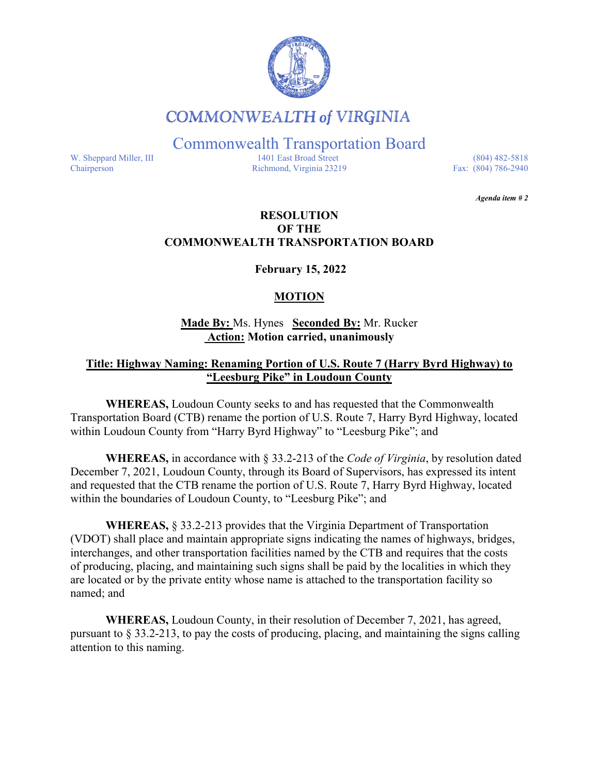

# **COMMONWEALTH of VIRGINIA**

Commonwealth Transportation Board

W. Sheppard Miller, III 1401 East Broad Street (804) 482-5818<br>Chairperson Richmond, Virginia 23219 Fax: (804) 786-2940 Richmond, Virginia 23219

*Agenda item # 2* 

## **RESOLUTION OF THE COMMONWEALTH TRANSPORTATION BOARD**

**February 15, 2022**

## **MOTION**

**Made By:** Ms. Hynes **Seconded By:** Mr. Rucker **Action: Motion carried, unanimously**

## **Title: Highway Naming: Renaming Portion of U.S. Route 7 (Harry Byrd Highway) to "Leesburg Pike" in Loudoun County**

**WHEREAS,** Loudoun County seeks to and has requested that the Commonwealth Transportation Board (CTB) rename the portion of U.S. Route 7, Harry Byrd Highway, located within Loudoun County from "Harry Byrd Highway" to "Leesburg Pike"; and

**WHEREAS,** in accordance with § 33.2-213 of the *Code of Virginia*, by resolution dated December 7, 2021, Loudoun County, through its Board of Supervisors, has expressed its intent and requested that the CTB rename the portion of U.S. Route 7, Harry Byrd Highway, located within the boundaries of Loudoun County, to "Leesburg Pike"; and

**WHEREAS,** § 33.2-213 provides that the Virginia Department of Transportation (VDOT) shall place and maintain appropriate signs indicating the names of highways, bridges, interchanges, and other transportation facilities named by the CTB and requires that the costs of producing, placing, and maintaining such signs shall be paid by the localities in which they are located or by the private entity whose name is attached to the transportation facility so named; and

**WHEREAS,** Loudoun County, in their resolution of December 7, 2021, has agreed, pursuant to § 33.2-213, to pay the costs of producing, placing, and maintaining the signs calling attention to this naming.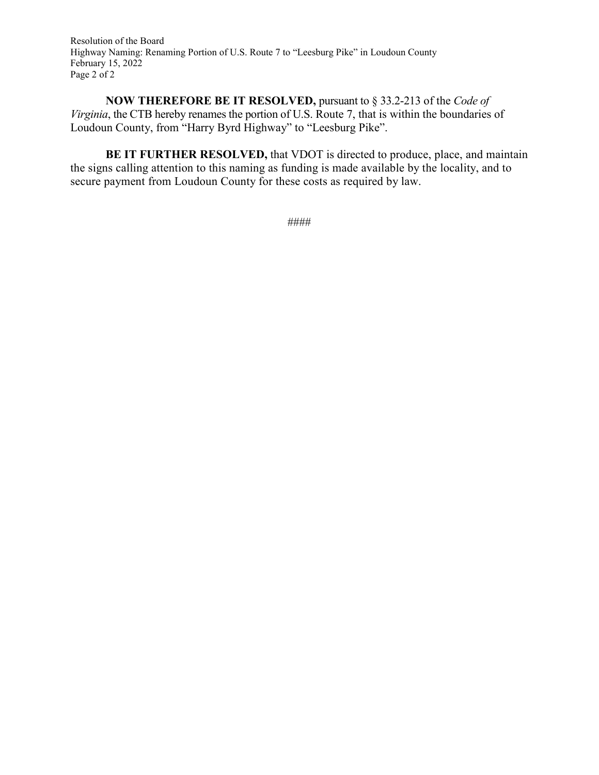Resolution of the Board Highway Naming: Renaming Portion of U.S. Route 7 to "Leesburg Pike" in Loudoun County February 15, 2022 Page 2 of 2

**NOW THEREFORE BE IT RESOLVED,** pursuant to § 33.2-213 of the *Code of Virginia*, the CTB hereby renames the portion of U.S. Route 7, that is within the boundaries of Loudoun County, from "Harry Byrd Highway" to "Leesburg Pike".

**BE IT FURTHER RESOLVED, that VDOT is directed to produce, place, and maintain** the signs calling attention to this naming as funding is made available by the locality, and to secure payment from Loudoun County for these costs as required by law.

```
####
```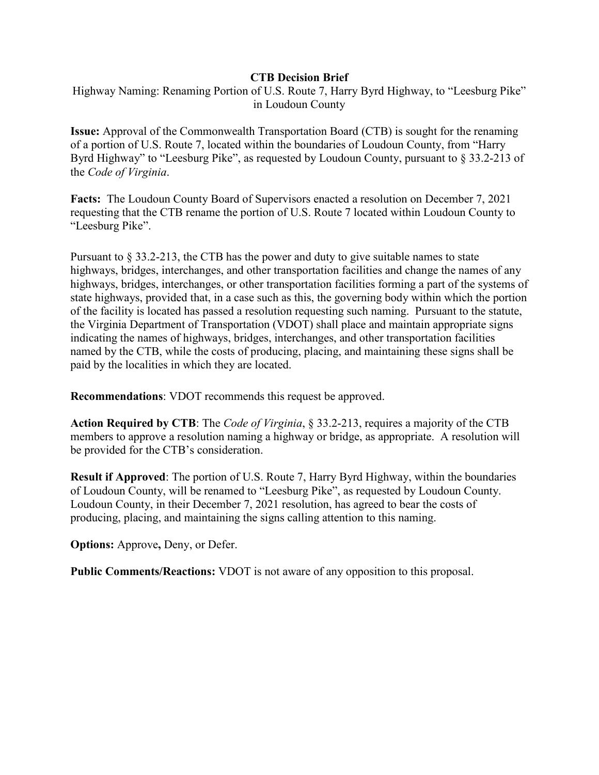#### **CTB Decision Brief**

Highway Naming: Renaming Portion of U.S. Route 7, Harry Byrd Highway, to "Leesburg Pike" in Loudoun County

**Issue:** Approval of the Commonwealth Transportation Board (CTB) is sought for the renaming of a portion of U.S. Route 7, located within the boundaries of Loudoun County, from "Harry Byrd Highway" to "Leesburg Pike", as requested by Loudoun County, pursuant to § 33.2-213 of the *Code of Virginia*.

**Facts:** The Loudoun County Board of Supervisors enacted a resolution on December 7, 2021 requesting that the CTB rename the portion of U.S. Route 7 located within Loudoun County to "Leesburg Pike".

Pursuant to § 33.2-213, the CTB has the power and duty to give suitable names to state highways, bridges, interchanges, and other transportation facilities and change the names of any highways, bridges, interchanges, or other transportation facilities forming a part of the systems of state highways, provided that, in a case such as this, the governing body within which the portion of the facility is located has passed a resolution requesting such naming. Pursuant to the statute, the Virginia Department of Transportation (VDOT) shall place and maintain appropriate signs indicating the names of highways, bridges, interchanges, and other transportation facilities named by the CTB, while the costs of producing, placing, and maintaining these signs shall be paid by the localities in which they are located.

**Recommendations**: VDOT recommends this request be approved.

**Action Required by CTB**: The *Code of Virginia*, § 33.2-213, requires a majority of the CTB members to approve a resolution naming a highway or bridge, as appropriate. A resolution will be provided for the CTB's consideration.

**Result if Approved**: The portion of U.S. Route 7, Harry Byrd Highway, within the boundaries of Loudoun County, will be renamed to "Leesburg Pike", as requested by Loudoun County. Loudoun County, in their December 7, 2021 resolution, has agreed to bear the costs of producing, placing, and maintaining the signs calling attention to this naming.

**Options:** Approve**,** Deny, or Defer.

**Public Comments/Reactions:** VDOT is not aware of any opposition to this proposal.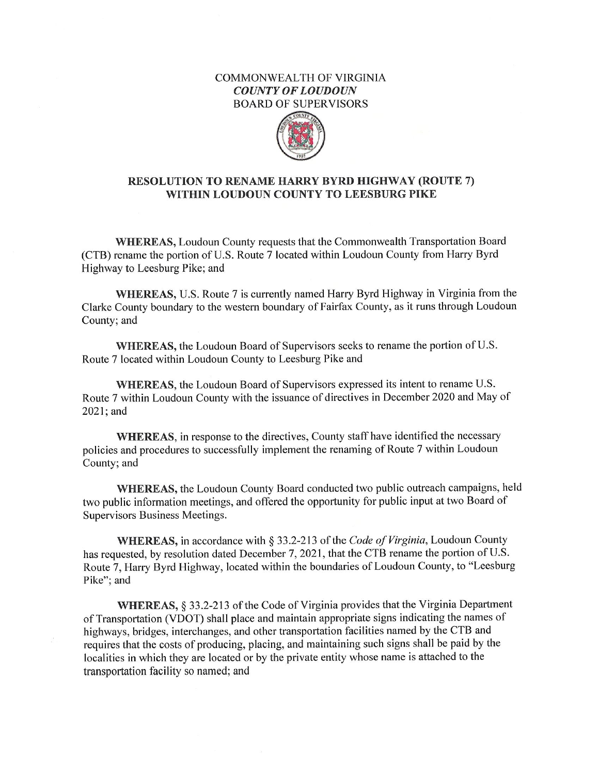#### **COMMONWEALTH OF VIRGINIA COUNTY OF LOUDOUN BOARD OF SUPERVISORS**



### RESOLUTION TO RENAME HARRY BYRD HIGHWAY (ROUTE 7) WITHIN LOUDOUN COUNTY TO LEESBURG PIKE

WHEREAS, Loudoun County requests that the Commonwealth Transportation Board (CTB) rename the portion of U.S. Route 7 located within Loudoun County from Harry Byrd Highway to Leesburg Pike; and

**WHEREAS, U.S. Route 7 is currently named Harry Byrd Highway in Virginia from the** Clarke County boundary to the western boundary of Fairfax County, as it runs through Loudoun County; and

WHEREAS, the Loudoun Board of Supervisors seeks to rename the portion of U.S. Route 7 located within Loudoun County to Leesburg Pike and

WHEREAS, the Loudoun Board of Supervisors expressed its intent to rename U.S. Route 7 within Loudoun County with the issuance of directives in December 2020 and May of 2021; and

WHEREAS, in response to the directives, County staff have identified the necessary policies and procedures to successfully implement the renaming of Route 7 within Loudoun County; and

WHEREAS, the Loudoun County Board conducted two public outreach campaigns, held two public information meetings, and offered the opportunity for public input at two Board of Supervisors Business Meetings.

WHEREAS, in accordance with § 33.2-213 of the Code of Virginia, Loudoun County has requested, by resolution dated December 7, 2021, that the CTB rename the portion of U.S. Route 7, Harry Byrd Highway, located within the boundaries of Loudoun County, to "Leesburg Pike"; and

WHEREAS, § 33.2-213 of the Code of Virginia provides that the Virginia Department of Transportation (VDOT) shall place and maintain appropriate signs indicating the names of highways, bridges, interchanges, and other transportation facilities named by the CTB and requires that the costs of producing, placing, and maintaining such signs shall be paid by the localities in which they are located or by the private entity whose name is attached to the transportation facility so named; and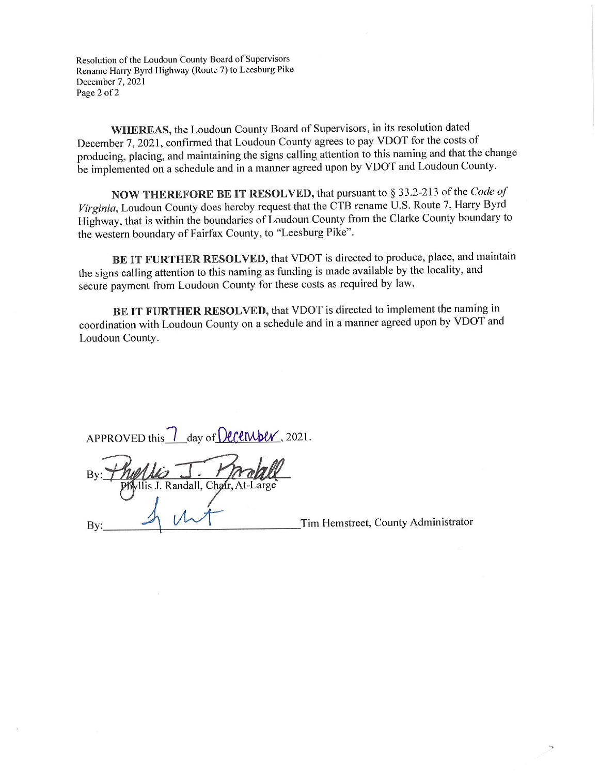Resolution of the Loudoun County Board of Supervisors Rename Harry Byrd Highway (Route 7) to Leesburg Pike December 7, 2021 Page 2 of 2

WHEREAS, the Loudoun County Board of Supervisors, in its resolution dated December 7, 2021, confirmed that Loudoun County agrees to pay VDOT for the costs of producing, placing, and maintaining the signs calling attention to this naming and that the change be implemented on a schedule and in a manner agreed upon by VDOT and Loudoun County.

NOW THEREFORE BE IT RESOLVED, that pursuant to § 33.2-213 of the Code of Virginia, Loudoun County does hereby request that the CTB rename U.S. Route 7, Harry Byrd Highway, that is within the boundaries of Loudoun County from the Clarke County boundary to the western boundary of Fairfax County, to "Leesburg Pike".

BE IT FURTHER RESOLVED, that VDOT is directed to produce, place, and maintain the signs calling attention to this naming as funding is made available by the locality, and secure payment from Loudoun County for these costs as required by law.

BE IT FURTHER RESOLVED, that VDOT is directed to implement the naming in coordination with Loudoun County on a schedule and in a manner agreed upon by VDOT and Loudoun County.

| APPROVED this $\frac{7}{2}$ day of <b>December</b> , 2021. |  |  |  |
|------------------------------------------------------------|--|--|--|

is J. Randall, Chair.

 $Bv$ 

Tim Hemstreet, County Administrator